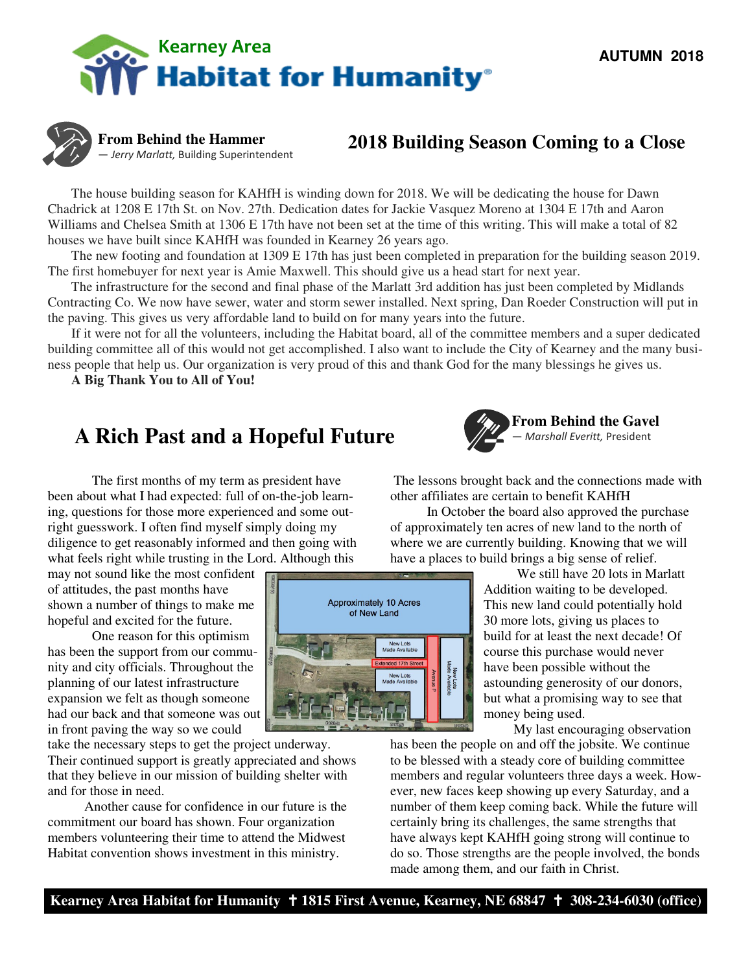



**From Behind the Hammer**  — Jerry Marlatt, Building Superintendent

### **2018 Building Season Coming to a Close**

 The house building season for KAHfH is winding down for 2018. We will be dedicating the house for Dawn Chadrick at 1208 E 17th St. on Nov. 27th. Dedication dates for Jackie Vasquez Moreno at 1304 E 17th and Aaron Williams and Chelsea Smith at 1306 E 17th have not been set at the time of this writing. This will make a total of 82 houses we have built since KAHfH was founded in Kearney 26 years ago.

 The new footing and foundation at 1309 E 17th has just been completed in preparation for the building season 2019. The first homebuyer for next year is Amie Maxwell. This should give us a head start for next year.

 The infrastructure for the second and final phase of the Marlatt 3rd addition has just been completed by Midlands Contracting Co. We now have sewer, water and storm sewer installed. Next spring, Dan Roeder Construction will put in the paving. This gives us very affordable land to build on for many years into the future.

 If it were not for all the volunteers, including the Habitat board, all of the committee members and a super dedicated building committee all of this would not get accomplished. I also want to include the City of Kearney and the many business people that help us. Our organization is very proud of this and thank God for the many blessings he gives us.

> **Approximately 10 Acres** of New Land

> > New Lots<br>Made Available

New Lots<br>Made Availab

ē

**A Big Thank You to All of You!** 

## **A Rich Past and a Hopeful Future**

The first months of my term as president have been about what I had expected: full of on-the-job learning, questions for those more experienced and some outright guesswork. I often find myself simply doing my diligence to get reasonably informed and then going with what feels right while trusting in the Lord. Although this

may not sound like the most confident of attitudes, the past months have shown a number of things to make me hopeful and excited for the future.

One reason for this optimism has been the support from our community and city officials. Throughout the planning of our latest infrastructure expansion we felt as though someone had our back and that someone was out in front paving the way so we could

take the necessary steps to get the project underway. Their continued support is greatly appreciated and shows that they believe in our mission of building shelter with and for those in need.

 Another cause for confidence in our future is the commitment our board has shown. Four organization members volunteering their time to attend the Midwest Habitat convention shows investment in this ministry.



 The lessons brought back and the connections made with other affiliates are certain to benefit KAHfH

 In October the board also approved the purchase of approximately ten acres of new land to the north of where we are currently building. Knowing that we will have a places to build brings a big sense of relief.

> We still have 20 lots in Marlatt Addition waiting to be developed. This new land could potentially hold 30 more lots, giving us places to build for at least the next decade! Of course this purchase would never have been possible without the astounding generosity of our donors, but what a promising way to see that money being used.

> > My last encouraging observation

has been the people on and off the jobsite. We continue to be blessed with a steady core of building committee members and regular volunteers three days a week. However, new faces keep showing up every Saturday, and a number of them keep coming back. While the future will certainly bring its challenges, the same strengths that have always kept KAHfH going strong will continue to do so. Those strengths are the people involved, the bonds made among them, and our faith in Christ.

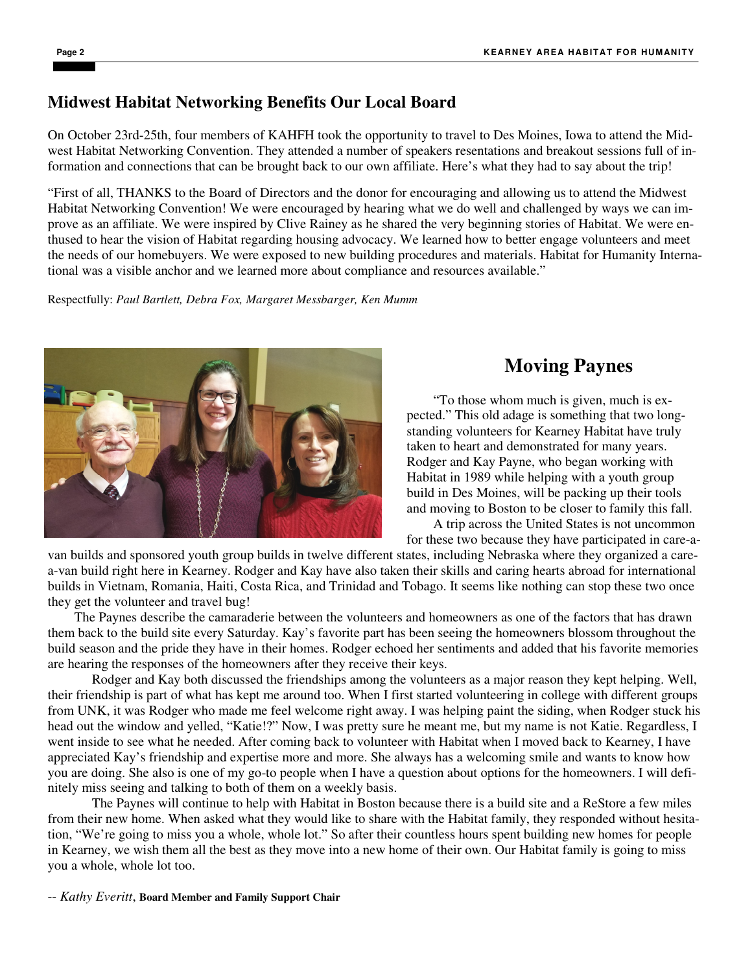### **Midwest Habitat Networking Benefits Our Local Board**

On October 23rd-25th, four members of KAHFH took the opportunity to travel to Des Moines, Iowa to attend the Midwest Habitat Networking Convention. They attended a number of speakers resentations and breakout sessions full of information and connections that can be brought back to our own affiliate. Here's what they had to say about the trip!

"First of all, THANKS to the Board of Directors and the donor for encouraging and allowing us to attend the Midwest Habitat Networking Convention! We were encouraged by hearing what we do well and challenged by ways we can improve as an affiliate. We were inspired by Clive Rainey as he shared the very beginning stories of Habitat. We were enthused to hear the vision of Habitat regarding housing advocacy. We learned how to better engage volunteers and meet the needs of our homebuyers. We were exposed to new building procedures and materials. Habitat for Humanity International was a visible anchor and we learned more about compliance and resources available."

Respectfully: *Paul Bartlett, Debra Fox, Margaret Messbarger, Ken Mumm*



## **Moving Paynes**

 "To those whom much is given, much is expected." This old adage is something that two longstanding volunteers for Kearney Habitat have truly taken to heart and demonstrated for many years. Rodger and Kay Payne, who began working with Habitat in 1989 while helping with a youth group build in Des Moines, will be packing up their tools and moving to Boston to be closer to family this fall.

 A trip across the United States is not uncommon for these two because they have participated in care-a-

van builds and sponsored youth group builds in twelve different states, including Nebraska where they organized a carea-van build right here in Kearney. Rodger and Kay have also taken their skills and caring hearts abroad for international builds in Vietnam, Romania, Haiti, Costa Rica, and Trinidad and Tobago. It seems like nothing can stop these two once they get the volunteer and travel bug!

 The Paynes describe the camaraderie between the volunteers and homeowners as one of the factors that has drawn them back to the build site every Saturday. Kay's favorite part has been seeing the homeowners blossom throughout the build season and the pride they have in their homes. Rodger echoed her sentiments and added that his favorite memories are hearing the responses of the homeowners after they receive their keys.

Rodger and Kay both discussed the friendships among the volunteers as a major reason they kept helping. Well, their friendship is part of what has kept me around too. When I first started volunteering in college with different groups from UNK, it was Rodger who made me feel welcome right away. I was helping paint the siding, when Rodger stuck his head out the window and yelled, "Katie!?" Now, I was pretty sure he meant me, but my name is not Katie. Regardless, I went inside to see what he needed. After coming back to volunteer with Habitat when I moved back to Kearney, I have appreciated Kay's friendship and expertise more and more. She always has a welcoming smile and wants to know how you are doing. She also is one of my go-to people when I have a question about options for the homeowners. I will definitely miss seeing and talking to both of them on a weekly basis.

The Paynes will continue to help with Habitat in Boston because there is a build site and a ReStore a few miles from their new home. When asked what they would like to share with the Habitat family, they responded without hesitation, "We're going to miss you a whole, whole lot." So after their countless hours spent building new homes for people in Kearney, we wish them all the best as they move into a new home of their own. Our Habitat family is going to miss you a whole, whole lot too.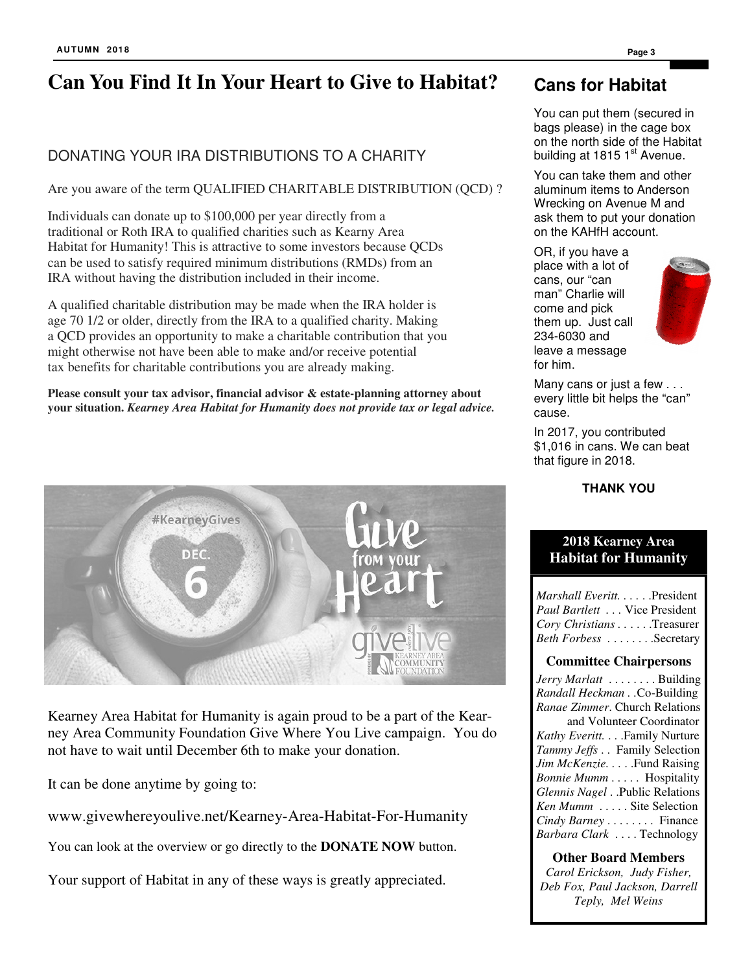# **Can You Find It In Your Heart to Give to Habitat?**

### DONATING YOUR IRA DISTRIBUTIONS TO A CHARITY

Are you aware of the term QUALIFIED CHARITABLE DISTRIBUTION (QCD) ?

Individuals can donate up to \$100,000 per year directly from a traditional or Roth IRA to qualified charities such as Kearny Area Habitat for Humanity! This is attractive to some investors because QCDs can be used to satisfy required minimum distributions (RMDs) from an IRA without having the distribution included in their income.

A qualified charitable distribution may be made when the IRA holder is age 70 1/2 or older, directly from the IRA to a qualified charity. Making a QCD provides an opportunity to make a charitable contribution that you might otherwise not have been able to make and/or receive potential tax benefits for charitable contributions you are already making.

**Please consult your tax advisor, financial advisor & estate-planning attorney about your situation.** *Kearney Area Habitat for Humanity does not provide tax or legal advice.* 



Kearney Area Habitat for Humanity is again proud to be a part of the Kearney Area Community Foundation Give Where You Live campaign. You do not have to wait until December 6th to make your donation.

It can be done anytime by going to:

www.givewhereyoulive.net/Kearney-Area-Habitat-For-Humanity

You can look at the overview or go directly to the **DONATE NOW** button.

Your support of Habitat in any of these ways is greatly appreciated.

### **Cans for Habitat**

You can put them (secured in bags please) in the cage box on the north side of the Habitat building at 1815  $1<sup>st</sup>$  Avenue.

You can take them and other aluminum items to Anderson Wrecking on Avenue M and ask them to put your donation on the KAHfH account.

OR, if you have a place with a lot of cans, our "can man" Charlie will come and pick them up. Just call 234-6030 and leave a message for him.



Many cans or just a few . . . every little bit helps the "can" cause.

In 2017, you contributed \$1,016 in cans. We can beat that figure in 2018.

**THANK YOU** 

### **2018 Kearney Area Habitat for Humanity**

*Marshall Everitt. . . . . . . President Paul Bartlett . . .* Vice President *Cory Christians . .* . . . .Treasurer *Beth Forbess* . . . . . . . . Secretary

#### **Committee Chairpersons**

*Jerry Marlatt* . . . . . . . . Building *Randall Heckman . .*Co-Building *Ranae Zimmer*. Church Relations and Volunteer Coordinator *Kathy Everitt.* . . .Family Nurture *Tammy Jeffs* . . Family Selection *Jim McKenzie....*.Fund Raising *Bonnie Mumm* . . . . . Hospitality *Glennis Nagel* . .Public Relations *Ken Mumm* . . . . . Site Selection *Cindy Barney* . . . . . . . . Finance *Barbara Clark* . . . . Technology

#### **Other Board Members**

*Carol Erickson, Judy Fisher, Deb Fox, Paul Jackson, Darrell Teply, Mel Weins*